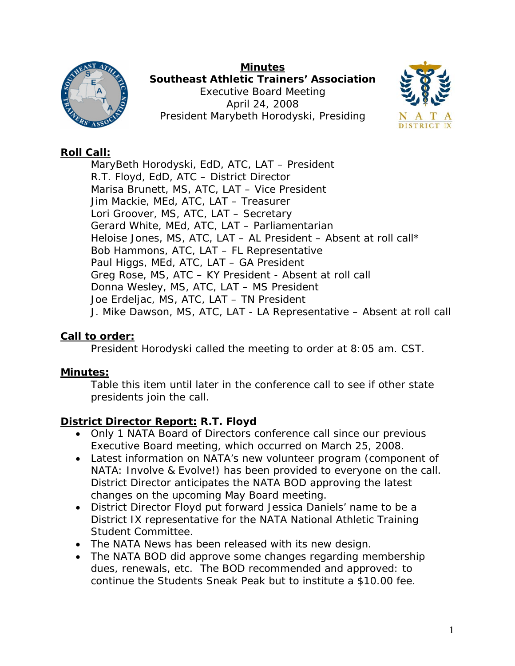

**Minutes Southeast Athletic Trainers' Association**  Executive Board Meeting April 24, 2008 President Marybeth Horodyski, Presiding



## **Roll Call:**

MaryBeth Horodyski, EdD, ATC, LAT – President R.T. Floyd, EdD, ATC – District Director Marisa Brunett, MS, ATC, LAT – Vice President Jim Mackie, MEd, ATC, LAT – Treasurer Lori Groover, MS, ATC, LAT – Secretary Gerard White, MEd, ATC, LAT – Parliamentarian Heloise Jones, MS, ATC, LAT  $-$  AL President  $-$  Absent at roll call\* Bob Hammons, ATC, LAT – FL Representative Paul Higgs, MEd, ATC, LAT – GA President Greg Rose, MS, ATC – KY President - Absent at roll call Donna Wesley, MS, ATC, LAT – MS President Joe Erdeljac, MS, ATC, LAT – TN President J. Mike Dawson, MS, ATC, LAT - LA Representative – Absent at roll call

## **Call to order:**

President Horodyski called the meeting to order at 8:05 am. CST.

## **Minutes:**

Table this item until later in the conference call to see if other state presidents join the call.

## **District Director Report: R.T. Floyd**

- Only 1 NATA Board of Directors conference call since our previous Executive Board meeting, which occurred on March 25, 2008.
- Latest information on NATA's new volunteer program (component of NATA: Involve & Evolve!) has been provided to everyone on the call. District Director anticipates the NATA BOD approving the latest changes on the upcoming May Board meeting.
- District Director Floyd put forward Jessica Daniels' name to be a District IX representative for the NATA National Athletic Training Student Committee.
- The *NATA News* has been released with its new design.
- The NATA BOD did approve some changes regarding membership dues, renewals, etc. The BOD recommended and approved: to continue the Students Sneak Peak but to institute a \$10.00 fee.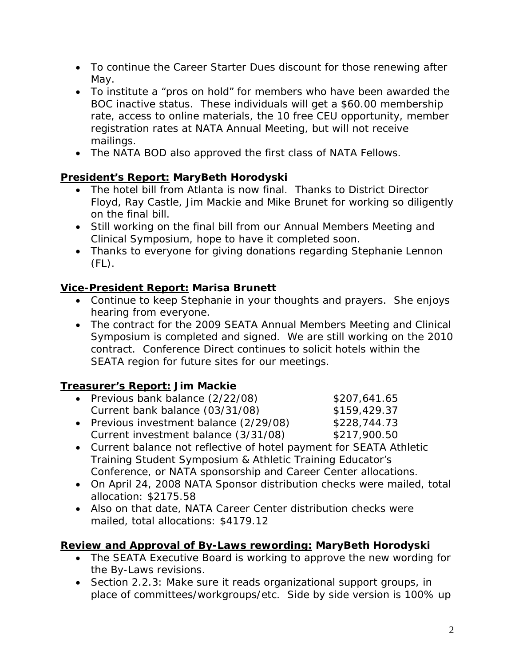- To continue the Career Starter Dues discount for those renewing after May.
- To institute a "pros on hold" for members who have been awarded the BOC inactive status. These individuals will get a \$60.00 membership rate, access to online materials, the 10 free CEU opportunity, member registration rates at NATA Annual Meeting, but will not receive mailings.
- The NATA BOD also approved the first class of NATA Fellows.

# **President's Report: MaryBeth Horodyski**

- The hotel bill from Atlanta is now final. Thanks to District Director Floyd, Ray Castle, Jim Mackie and Mike Brunet for working so diligently on the final bill.
- Still working on the final bill from our Annual Members Meeting and Clinical Symposium, hope to have it completed soon.
- Thanks to everyone for giving donations regarding Stephanie Lennon  $(FL)$ .

# **Vice-President Report: Marisa Brunett**

- Continue to keep Stephanie in your thoughts and prayers. She enjoys hearing from everyone.
- The contract for the 2009 SEATA Annual Members Meeting and Clinical Symposium is completed and signed. We are still working on the 2010 contract. Conference Direct continues to solicit hotels within the SEATA region for future sites for our meetings.

# **Treasurer's Report: Jim Mackie**

| • Previous bank balance (2/22/08) | \$207,641.65 |
|-----------------------------------|--------------|
| Current bank balance (03/31/08)   | \$159,429.37 |

- Previous investment balance (2/29/08) \$228,744.73 Current investment balance (3/31/08) \$217,900.50
- Current balance not reflective of hotel payment for SEATA Athletic Training Student Symposium & Athletic Training Educator's Conference, or NATA sponsorship and Career Center allocations.
- On April 24, 2008 NATA Sponsor distribution checks were mailed, total allocation: \$2175.58
- Also on that date, NATA Career Center distribution checks were mailed, total allocations: \$4179.12

# **Review and Approval of By-Laws rewording: MaryBeth Horodyski**

- The SEATA Executive Board is working to approve the new wording for the By-Laws revisions.
- Section 2.2.3: Make sure it reads organizational support groups, in place of committees/workgroups/etc. Side by side version is 100% up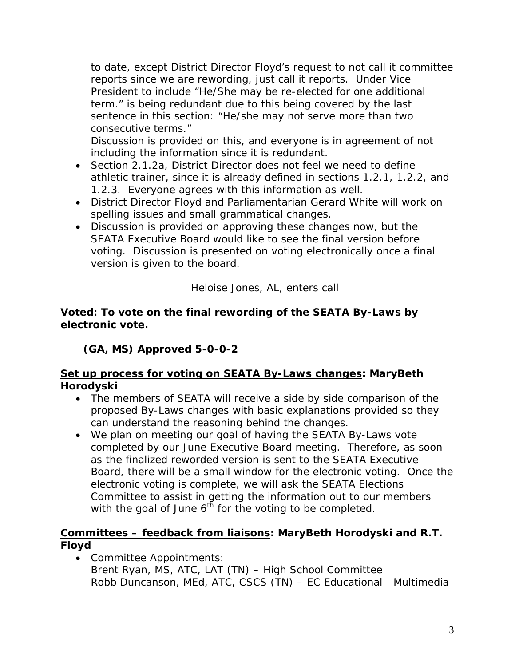to date, except District Director Floyd's request to not call it committee reports since we are rewording, just call it reports. Under Vice President to include "He/She may be re-elected for one additional term." is being redundant due to this being covered by the last sentence in this section: "He/she may not serve more than two consecutive terms."

Discussion is provided on this, and everyone is in agreement of not including the information since it is redundant.

- Section 2.1.2a, District Director does not feel we need to define athletic trainer, since it is already defined in sections 1.2.1, 1.2.2, and 1.2.3. Everyone agrees with this information as well.
- District Director Floyd and Parliamentarian Gerard White will work on spelling issues and small grammatical changes.
- Discussion is provided on approving these changes now, but the SEATA Executive Board would like to see the final version before voting. Discussion is presented on voting electronically once a final version is given to the board.

*Heloise Jones, AL, enters call* 

#### **Voted: To vote on the final rewording of the SEATA By-Laws by electronic vote.**

**(GA, MS) Approved 5-0-0-2** 

### **Set up process for voting on SEATA By-Laws changes: MaryBeth Horodyski**

- The members of SEATA will receive a side by side comparison of the proposed By-Laws changes with basic explanations provided so they can understand the reasoning behind the changes.
- We plan on meeting our goal of having the SEATA By-Laws vote completed by our June Executive Board meeting. Therefore, as soon as the finalized reworded version is sent to the SEATA Executive Board, there will be a small window for the electronic voting. Once the electronic voting is complete, we will ask the SEATA Elections Committee to assist in getting the information out to our members with the goal of June  $6^{th}$  for the voting to be completed.

## **Committees – feedback from liaisons: MaryBeth Horodyski and R.T. Floyd**

• Committee Appointments: Brent Ryan, MS, ATC, LAT (TN) – High School Committee Robb Duncanson, MEd, ATC, CSCS (TN) – EC Educational Multimedia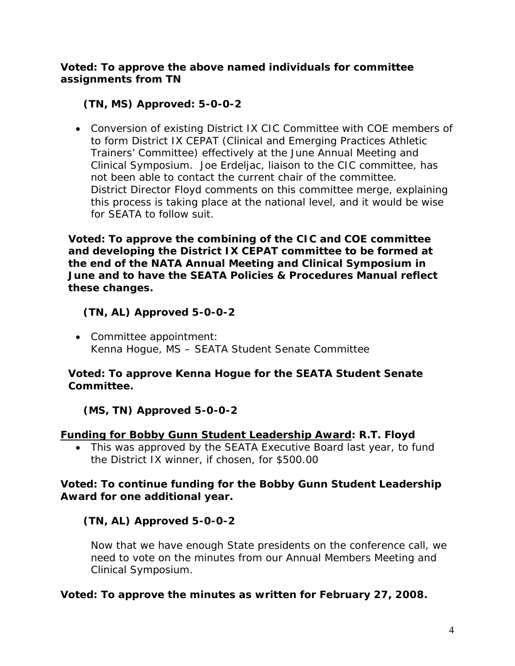**Voted: To approve the above named individuals for committee assignments from TN** 

## **(TN, MS) Approved: 5-0-0-2**

• Conversion of existing District IX CIC Committee with COE members of to form District IX CEPAT (Clinical and Emerging Practices Athletic Trainers' Committee) effectively at the June Annual Meeting and Clinical Symposium. Joe Erdeljac, liaison to the CIC committee, has not been able to contact the current chair of the committee. District Director Floyd comments on this committee merge, explaining this process is taking place at the national level, and it would be wise for SEATA to follow suit.

**Voted: To approve the combining of the CIC and COE committee and developing the District IX CEPAT committee to be formed at the end of the NATA Annual Meeting and Clinical Symposium in June and to have the SEATA Policies & Procedures Manual reflect these changes.** 

## **(TN, AL) Approved 5-0-0-2**

• Committee appointment: Kenna Hogue, MS – SEATA Student Senate Committee

### **Voted: To approve Kenna Hogue for the SEATA Student Senate Committee.**

## **(MS, TN) Approved 5-0-0-2**

### **Funding for Bobby Gunn Student Leadership Award: R.T. Floyd**

• This was approved by the SEATA Executive Board last year, to fund the District IX winner, if chosen, for \$500.00

### **Voted: To continue funding for the Bobby Gunn Student Leadership Award for one additional year.**

## **(TN, AL) Approved 5-0-0-2**

Now that we have enough State presidents on the conference call, we need to vote on the minutes from our Annual Members Meeting and Clinical Symposium.

## **Voted: To approve the minutes as written for February 27, 2008.**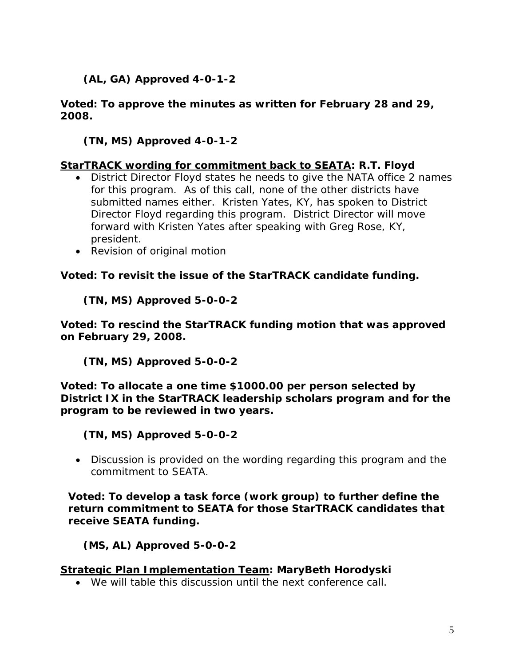## **(AL, GA) Approved 4-0-1-2**

#### **Voted: To approve the minutes as written for February 28 and 29, 2008.**

### **(TN, MS) Approved 4-0-1-2**

### **StarTRACK wording for commitment back to SEATA: R.T. Floyd**

- District Director Floyd states he needs to give the NATA office 2 names for this program. As of this call, none of the other districts have submitted names either. Kristen Yates, KY, has spoken to District Director Floyd regarding this program. District Director will move forward with Kristen Yates after speaking with Greg Rose, KY, president.
- Revision of original motion

#### **Voted: To revisit the issue of the StarTRACK candidate funding.**

**(TN, MS) Approved 5-0-0-2** 

**Voted: To rescind the StarTRACK funding motion that was approved on February 29, 2008.** 

**(TN, MS) Approved 5-0-0-2** 

**Voted: To allocate a one time \$1000.00 per person selected by District IX in the StarTRACK leadership scholars program and for the program to be reviewed in two years.** 

**(TN, MS) Approved 5-0-0-2** 

• Discussion is provided on the wording regarding this program and the commitment to SEATA.

**Voted: To develop a task force (work group) to further define the return commitment to SEATA for those StarTRACK candidates that receive SEATA funding.** 

**(MS, AL) Approved 5-0-0-2** 

#### **Strategic Plan Implementation Team: MaryBeth Horodyski**

• We will table this discussion until the next conference call.